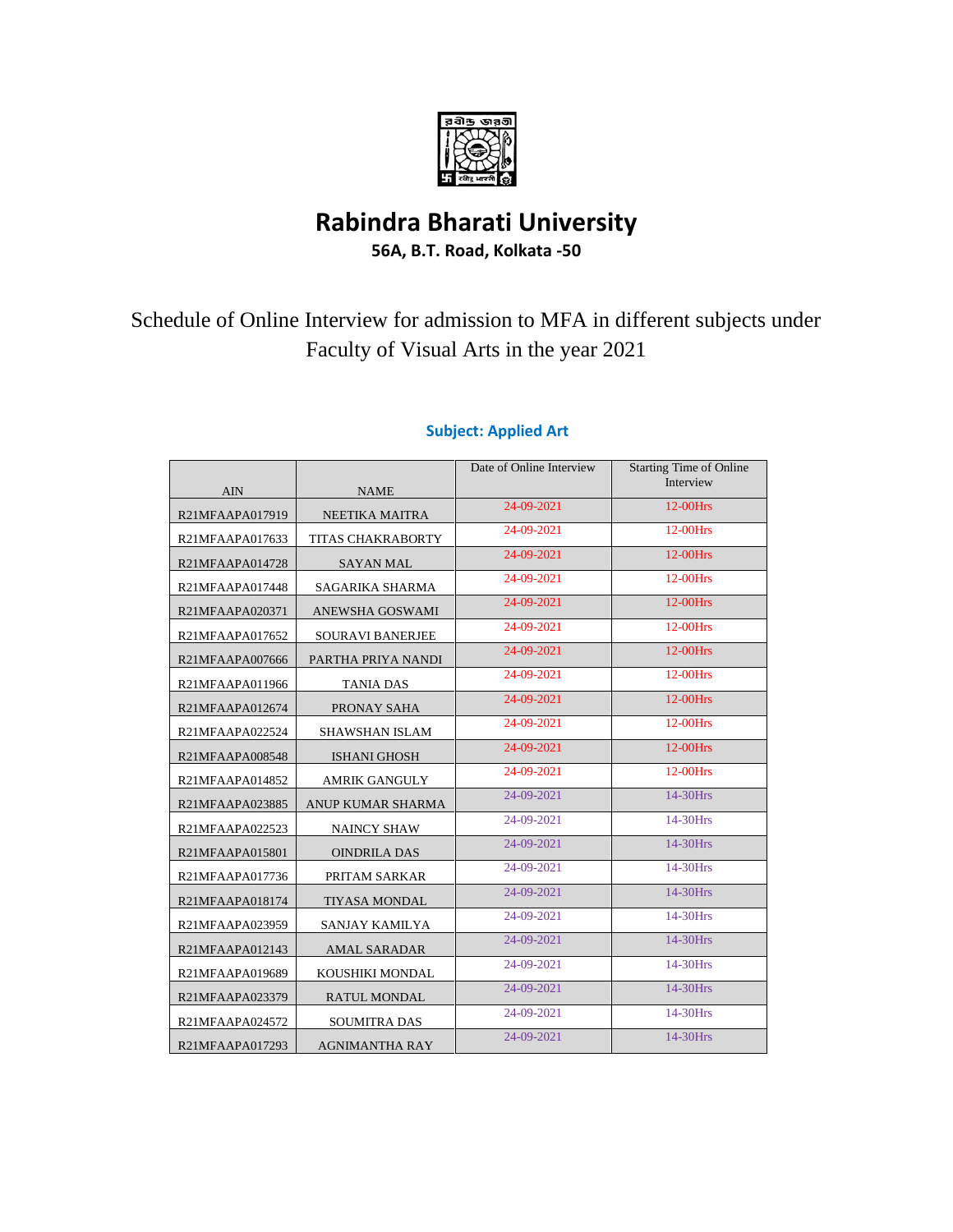

# **Rabindra Bharati University**

**56A, B.T. Road, Kolkata -50**

Schedule of Online Interview for admission to MFA in different subjects under Faculty of Visual Arts in the year 2021

|                 |                         | Date of Online Interview | <b>Starting Time of Online</b> |
|-----------------|-------------------------|--------------------------|--------------------------------|
| <b>AIN</b>      | <b>NAME</b>             |                          | Interview                      |
| R21MFAAPA017919 | NEETIKA MAITRA          | 24-09-2021               | 12-00Hrs                       |
| R21MFAAPA017633 | TITAS CHAKRABORTY       | 24-09-2021               | 12-00Hrs                       |
| R21MFAAPA014728 | <b>SAYAN MAL</b>        | 24-09-2021               | 12-00Hrs                       |
| R21MFAAPA017448 | SAGARIKA SHARMA         | 24-09-2021               | 12-00Hrs                       |
| R21MFAAPA020371 | ANEWSHA GOSWAMI         | 24-09-2021               | $12-00$ Hrs                    |
| R21MFAAPA017652 | <b>SOURAVI BANERJEE</b> | 24-09-2021               | 12-00Hrs                       |
| R21MFAAPA007666 | PARTHA PRIYA NANDI      | 24-09-2021               | 12-00Hrs                       |
| R21MFAAPA011966 | <b>TANIA DAS</b>        | 24-09-2021               | 12-00Hrs                       |
| R21MFAAPA012674 | PRONAY SAHA             | 24-09-2021               | 12-00Hrs                       |
| R21MFAAPA022524 | SHAWSHAN ISLAM          | 24-09-2021               | 12-00Hrs                       |
| R21MFAAPA008548 | <b>ISHANI GHOSH</b>     | 24-09-2021               | 12-00Hrs                       |
| R21MFAAPA014852 | <b>AMRIK GANGULY</b>    | 24-09-2021               | 12-00Hrs                       |
| R21MFAAPA023885 | ANUP KUMAR SHARMA       | 24-09-2021               | 14-30Hrs                       |
| R21MFAAPA022523 | <b>NAINCY SHAW</b>      | 24-09-2021               | 14-30Hrs                       |
| R21MFAAPA015801 | <b>OINDRILA DAS</b>     | 24-09-2021               | 14-30Hrs                       |
| R21MFAAPA017736 | PRITAM SARKAR           | 24-09-2021               | 14-30Hrs                       |
| R21MFAAPA018174 | <b>TIYASA MONDAL</b>    | 24-09-2021               | 14-30Hrs                       |
| R21MFAAPA023959 | SANJAY KAMILYA          | 24-09-2021               | 14-30Hrs                       |
| R21MFAAPA012143 | <b>AMAL SARADAR</b>     | 24-09-2021               | 14-30Hrs                       |
| R21MFAAPA019689 | KOUSHIKI MONDAL         | 24-09-2021               | 14-30Hrs                       |
| R21MFAAPA023379 | RATUL MONDAL            | 24-09-2021               | 14-30Hrs                       |
| R21MFAAPA024572 | <b>SOUMITRA DAS</b>     | 24-09-2021               | 14-30Hrs                       |
| R21MFAAPA017293 | <b>AGNIMANTHA RAY</b>   | 24-09-2021               | 14-30Hrs                       |

## **Subject: Applied Art**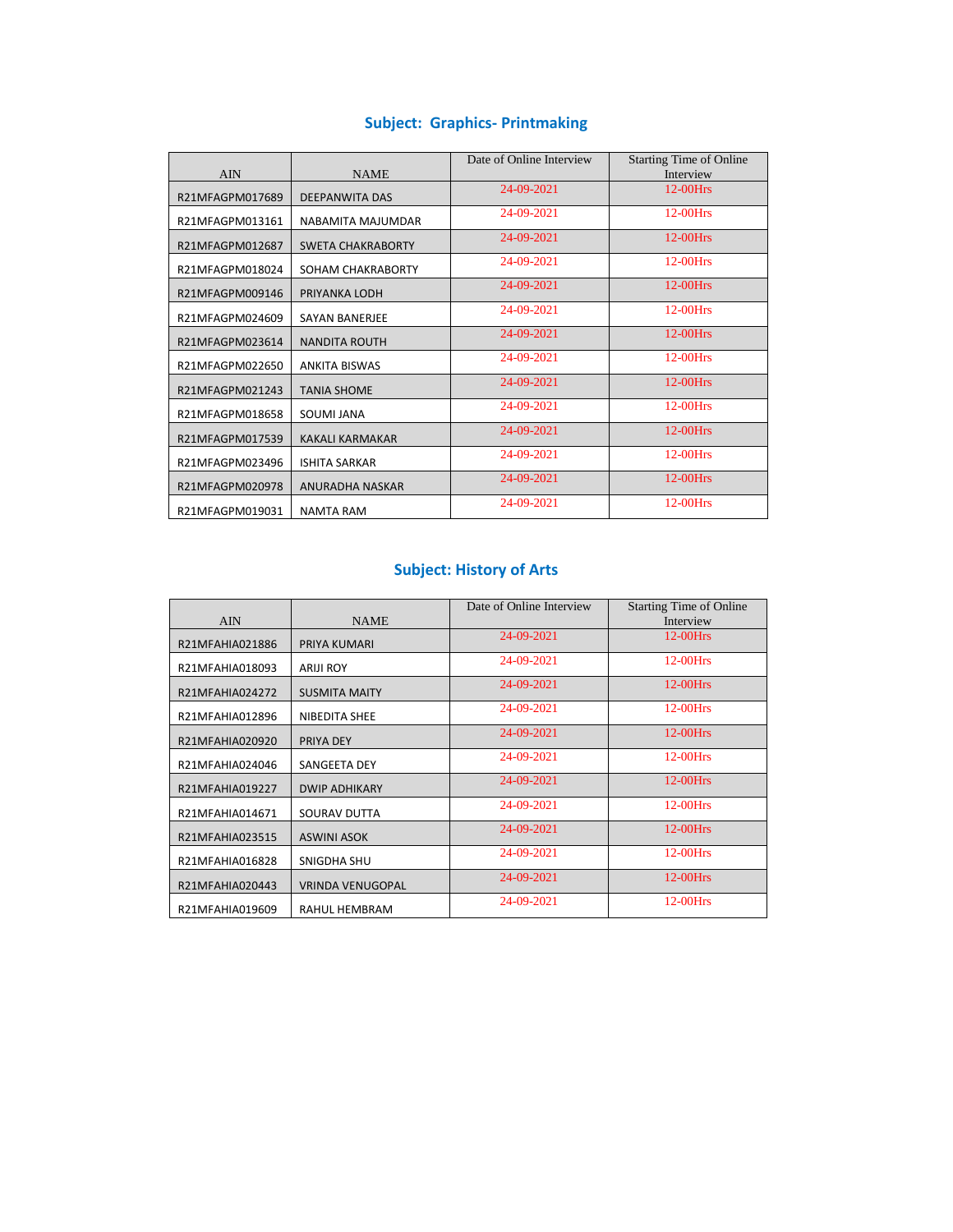### **Subject: Graphics- Printmaking**

|                 |                          | Date of Online Interview | <b>Starting Time of Online</b> |
|-----------------|--------------------------|--------------------------|--------------------------------|
| <b>AIN</b>      | <b>NAME</b>              |                          | Interview                      |
| R21MFAGPM017689 | <b>DEEPANWITA DAS</b>    | 24-09-2021               | $12-00$ Hrs                    |
| R21MFAGPM013161 | NABAMITA MAJUMDAR        | 24-09-2021               | $12-00$ Hrs                    |
| R21MFAGPM012687 | <b>SWETA CHAKRABORTY</b> | 24-09-2021               | 12-00Hrs                       |
| R21MFAGPM018024 | SOHAM CHAKRABORTY        | 24-09-2021               | 12-00Hrs                       |
| R21MFAGPM009146 | PRIYANKA LODH            | 24-09-2021               | $12-00$ Hrs                    |
| R21MFAGPM024609 | <b>SAYAN BANERJEE</b>    | 24-09-2021               | $12-00$ Hrs                    |
| R21MFAGPM023614 | <b>NANDITA ROUTH</b>     | 24-09-2021               | $12-00$ Hrs                    |
| R21MFAGPM022650 | <b>ANKITA BISWAS</b>     | 24-09-2021               | 12-00Hrs                       |
| R21MFAGPM021243 | <b>TANIA SHOME</b>       | 24-09-2021               | $12-00$ Hrs                    |
| R21MFAGPM018658 | SOUMI JANA               | 24-09-2021               | 12-00Hrs                       |
| R21MFAGPM017539 | <b>KAKALI KARMAKAR</b>   | 24-09-2021               | $12-00$ Hrs                    |
| R21MFAGPM023496 | <b>ISHITA SARKAR</b>     | 24-09-2021               | $12-00$ Hrs                    |
| R21MFAGPM020978 | <b>ANURADHA NASKAR</b>   | 24-09-2021               | $12-00$ Hrs                    |
| R21MFAGPM019031 | <b>NAMTA RAM</b>         | 24-09-2021               | $12-00$ Hrs                    |

### **Subject: History of Arts**

|                 |                         | Date of Online Interview | <b>Starting Time of Online</b> |
|-----------------|-------------------------|--------------------------|--------------------------------|
| <b>AIN</b>      | <b>NAME</b>             |                          | Interview                      |
| R21MFAHIA021886 | PRIYA KUMARI            | 24-09-2021               | $12-00$ Hrs                    |
| R21MFAHIA018093 | <b>ARIJI ROY</b>        | 24-09-2021               | $12-00$ Hrs                    |
| R21MFAHIA024272 | <b>SUSMITA MAITY</b>    | 24-09-2021               | $12-00$ Hrs                    |
| R21MFAHIA012896 | NIBEDITA SHEE           | 24-09-2021               | $12-00$ Hrs                    |
| R21MFAHIA020920 | PRIYA DEY               | 24-09-2021               | $12-00$ Hrs                    |
| R21MFAHIA024046 | <b>SANGEETA DEY</b>     | 24-09-2021               | $12-00$ Hrs                    |
| R21MFAHIA019227 | <b>DWIP ADHIKARY</b>    | 24-09-2021               | $12-00$ Hrs                    |
| R21MFAHIA014671 | SOURAV DUTTA            | 24-09-2021               | $12-00$ Hrs                    |
| R21MFAHIA023515 | <b>ASWINI ASOK</b>      | 24-09-2021               | $12-00$ Hrs                    |
| R21MFAHIA016828 | SNIGDHA SHU             | 24-09-2021               | $12-00$ Hrs                    |
| R21MFAHIA020443 | <b>VRINDA VENUGOPAL</b> | 24-09-2021               | $12-00$ Hrs                    |
| R21MFAHIA019609 | RAHUL HEMBRAM           | 24-09-2021               | 12-00Hrs                       |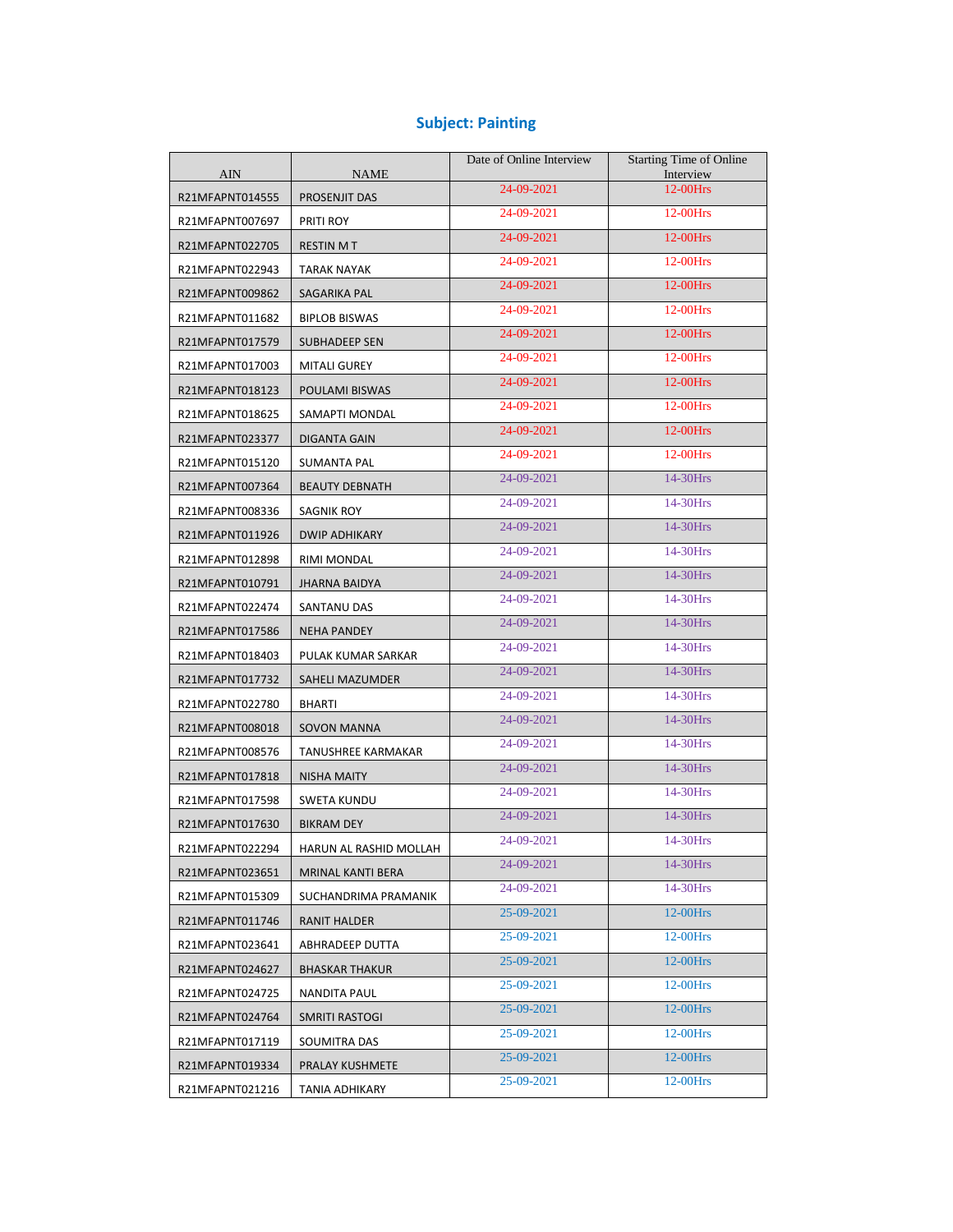### **Subject: Painting**

| <b>AIN</b>      | <b>NAME</b>               | Date of Online Interview | <b>Starting Time of Online</b><br>Interview |
|-----------------|---------------------------|--------------------------|---------------------------------------------|
| R21MFAPNT014555 | PROSENJIT DAS             | 24-09-2021               | $12-00$ Hrs                                 |
| R21MFAPNT007697 | PRITI ROY                 | 24-09-2021               | 12-00Hrs                                    |
| R21MFAPNT022705 | <b>RESTIN MT</b>          | 24-09-2021               | 12-00Hrs                                    |
| R21MFAPNT022943 | <b>TARAK NAYAK</b>        | 24-09-2021               | 12-00Hrs                                    |
| R21MFAPNT009862 | SAGARIKA PAL              | 24-09-2021               | 12-00Hrs                                    |
| R21MFAPNT011682 | <b>BIPLOB BISWAS</b>      | 24-09-2021               | 12-00Hrs                                    |
| R21MFAPNT017579 | SUBHADEEP SEN             | 24-09-2021               | 12-00Hrs                                    |
| R21MFAPNT017003 | <b>MITALI GUREY</b>       | 24-09-2021               | 12-00Hrs                                    |
| R21MFAPNT018123 | POULAMI BISWAS            | 24-09-2021               | 12-00Hrs                                    |
| R21MFAPNT018625 | SAMAPTI MONDAL            | 24-09-2021               | 12-00Hrs                                    |
| R21MFAPNT023377 | DIGANTA GAIN              | 24-09-2021               | 12-00Hrs                                    |
| R21MFAPNT015120 | <b>SUMANTA PAL</b>        | 24-09-2021               | 12-00Hrs                                    |
| R21MFAPNT007364 | <b>BEAUTY DEBNATH</b>     | 24-09-2021               | 14-30Hrs                                    |
| R21MFAPNT008336 | <b>SAGNIK ROY</b>         | 24-09-2021               | 14-30Hrs                                    |
| R21MFAPNT011926 | <b>DWIP ADHIKARY</b>      | 24-09-2021               | 14-30Hrs                                    |
| R21MFAPNT012898 | RIMI MONDAL               | 24-09-2021               | 14-30Hrs                                    |
| R21MFAPNT010791 | <b>JHARNA BAIDYA</b>      | 24-09-2021               | 14-30Hrs                                    |
| R21MFAPNT022474 | SANTANU DAS               | 24-09-2021               | 14-30Hrs                                    |
| R21MFAPNT017586 | <b>NEHA PANDEY</b>        | 24-09-2021               | 14-30Hrs                                    |
| R21MFAPNT018403 | PULAK KUMAR SARKAR        | 24-09-2021               | 14-30Hrs                                    |
| R21MFAPNT017732 | SAHELI MAZUMDER           | 24-09-2021               | 14-30Hrs                                    |
| R21MFAPNT022780 | <b>BHARTI</b>             | 24-09-2021               | 14-30Hrs                                    |
| R21MFAPNT008018 | SOVON MANNA               | 24-09-2021               | 14-30Hrs                                    |
| R21MFAPNT008576 | <b>TANUSHREE KARMAKAR</b> | 24-09-2021               | 14-30Hrs                                    |
| R21MFAPNT017818 | NISHA MAITY               | 24-09-2021               | 14-30Hrs                                    |
| R21MFAPNT017598 | SWETA KUNDU               | 24-09-2021               | 14-30Hrs                                    |
| R21MFAPNT017630 | <b>BIKRAM DEY</b>         | 24-09-2021               | 14-30Hrs                                    |
| R21MFAPNT022294 | HARUN AL RASHID MOLLAH    | 24-09-2021               | 14-30Hrs                                    |
| R21MFAPNT023651 | MRINAL KANTI BERA         | 24-09-2021               | 14-30Hrs                                    |
| R21MFAPNT015309 | SUCHANDRIMA PRAMANIK      | 24-09-2021               | 14-30Hrs                                    |
| R21MFAPNT011746 | RANIT HALDER              | 25-09-2021               | $12-00$ Hrs                                 |
| R21MFAPNT023641 | ABHRADEEP DUTTA           | 25-09-2021               | $12-00$ Hrs                                 |
| R21MFAPNT024627 | <b>BHASKAR THAKUR</b>     | 25-09-2021               | $12-00$ Hrs                                 |
| R21MFAPNT024725 | NANDITA PAUL              | 25-09-2021               | $12-00$ Hrs                                 |
| R21MFAPNT024764 | SMRITI RASTOGI            | 25-09-2021               | $12-00$ Hrs                                 |
| R21MFAPNT017119 | SOUMITRA DAS              | 25-09-2021               | 12-00Hrs                                    |
| R21MFAPNT019334 | PRALAY KUSHMETE           | 25-09-2021               | 12-00Hrs                                    |
| R21MFAPNT021216 | TANIA ADHIKARY            | 25-09-2021               | $12-00$ Hrs                                 |